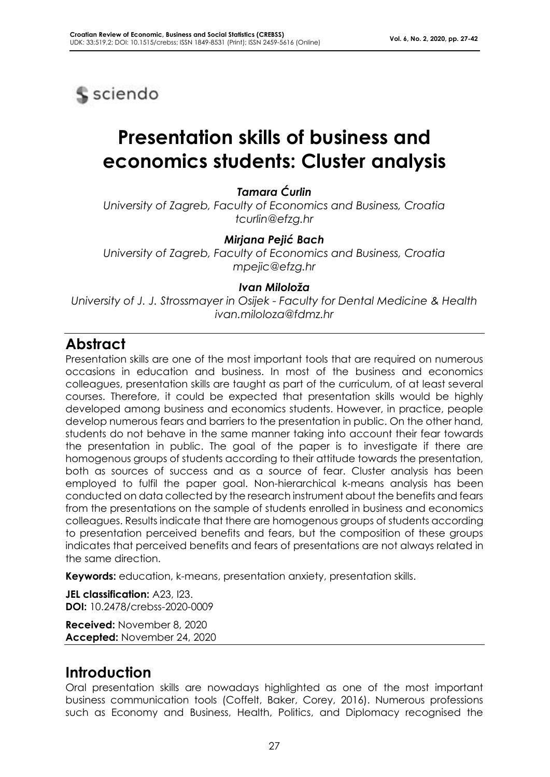

# **Presentation skills of business and economics students: Cluster analysis**

### *Tamara Ćurlin*

*University of Zagreb, Faculty of Economics and Business, Croatia tcurlin@efzg.hr*

#### *Mirjana Pejić Bach*

*University of Zagreb, Faculty of Economics and Business, Croatia mpejic@efzg.hr*

#### *Ivan Miloloža*

*University of J. J. Strossmayer in Osijek - Faculty for Dental Medicine & Health ivan.miloloza@fdmz.hr*

# **Abstract**

Presentation skills are one of the most important tools that are required on numerous occasions in education and business. In most of the business and economics colleagues, presentation skills are taught as part of the curriculum, of at least several courses. Therefore, it could be expected that presentation skills would be highly developed among business and economics students. However, in practice, people develop numerous fears and barriers to the presentation in public. On the other hand, students do not behave in the same manner taking into account their fear towards the presentation in public. The goal of the paper is to investigate if there are homogenous groups of students according to their attitude towards the presentation, both as sources of success and as a source of fear. Cluster analysis has been employed to fulfil the paper goal. Non-hierarchical k-means analysis has been conducted on data collected by the research instrument about the benefits and fears from the presentations on the sample of students enrolled in business and economics colleagues. Results indicate that there are homogenous groups of students according to presentation perceived benefits and fears, but the composition of these groups indicates that perceived benefits and fears of presentations are not always related in the same direction.

**Keywords:** education, k-means, presentation anxiety, presentation skills.

**JEL classification:** A23, I23. **DOI:** 10.2478/crebss-2020-0009

**Received:** November 8, 2020 **Accepted:** November 24, 2020

# **Introduction**

Oral presentation skills are nowadays highlighted as one of the most important business communication tools (Coffelt, Baker, Corey, 2016). Numerous professions such as Economy and Business, Health, Politics, and Diplomacy recognised the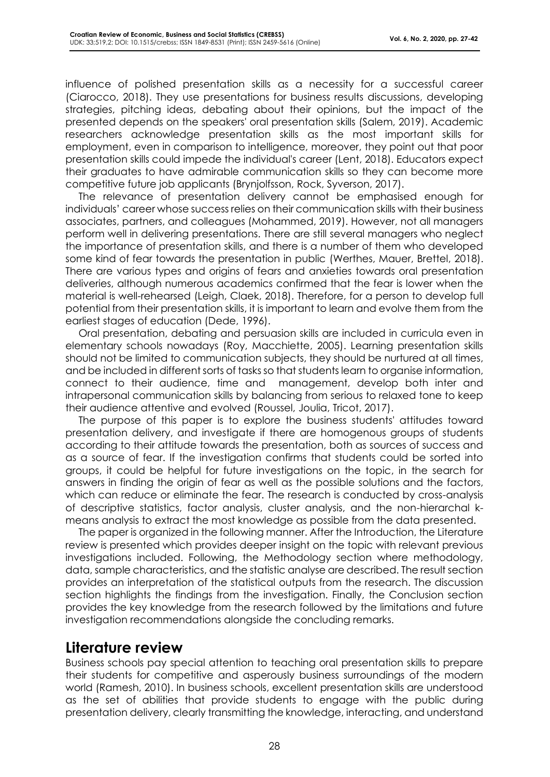influence of polished presentation skills as a necessity for a successful career (Ciarocco, 2018). They use presentations for business results discussions, developing strategies, pitching ideas, debating about their opinions, but the impact of the presented depends on the speakers' oral presentation skills (Salem, 2019). Academic researchers acknowledge presentation skills as the most important skills for employment, even in comparison to intelligence, moreover, they point out that poor presentation skills could impede the individual's career (Lent, 2018). Educators expect their graduates to have admirable communication skills so they can become more competitive future job applicants (Brynjolfsson, Rock, Syverson, 2017).

The relevance of presentation delivery cannot be emphasised enough for individuals' career whose success relies on their communication skills with their business associates, partners, and colleagues (Mohammed, 2019). However, not all managers perform well in delivering presentations. There are still several managers who neglect the importance of presentation skills, and there is a number of them who developed some kind of fear towards the presentation in public (Werthes, Mauer, Brettel, 2018). There are various types and origins of fears and anxieties towards oral presentation deliveries, although numerous academics confirmed that the fear is lower when the material is well-rehearsed (Leigh, Claek, 2018). Therefore, for a person to develop full potential from their presentation skills, it is important to learn and evolve them from the earliest stages of education (Dede, 1996).

Oral presentation, debating and persuasion skills are included in curricula even in elementary schools nowadays (Roy, Macchiette, 2005). Learning presentation skills should not be limited to communication subjects, they should be nurtured at all times, and be included in different sorts of tasks so that students learn to organise information, connect to their audience, time and management, develop both inter and intrapersonal communication skills by balancing from serious to relaxed tone to keep their audience attentive and evolved (Roussel, Joulia, Tricot, 2017).

The purpose of this paper is to explore the business students' attitudes toward presentation delivery, and investigate if there are homogenous groups of students according to their attitude towards the presentation, both as sources of success and as a source of fear. If the investigation confirms that students could be sorted into groups, it could be helpful for future investigations on the topic, in the search for answers in finding the origin of fear as well as the possible solutions and the factors, which can reduce or eliminate the fear. The research is conducted by cross-analysis of descriptive statistics, factor analysis, cluster analysis, and the non-hierarchal kmeans analysis to extract the most knowledge as possible from the data presented.

The paper is organized in the following manner. After the Introduction, the Literature review is presented which provides deeper insight on the topic with relevant previous investigations included. Following, the Methodology section where methodology, data, sample characteristics, and the statistic analyse are described. The result section provides an interpretation of the statistical outputs from the research. The discussion section highlights the findings from the investigation. Finally, the Conclusion section provides the key knowledge from the research followed by the limitations and future investigation recommendations alongside the concluding remarks.

## **Literature review**

Business schools pay special attention to teaching oral presentation skills to prepare their students for competitive and asperously business surroundings of the modern world (Ramesh, 2010). In business schools, excellent presentation skills are understood as the set of abilities that provide students to engage with the public during presentation delivery, clearly transmitting the knowledge, interacting, and understand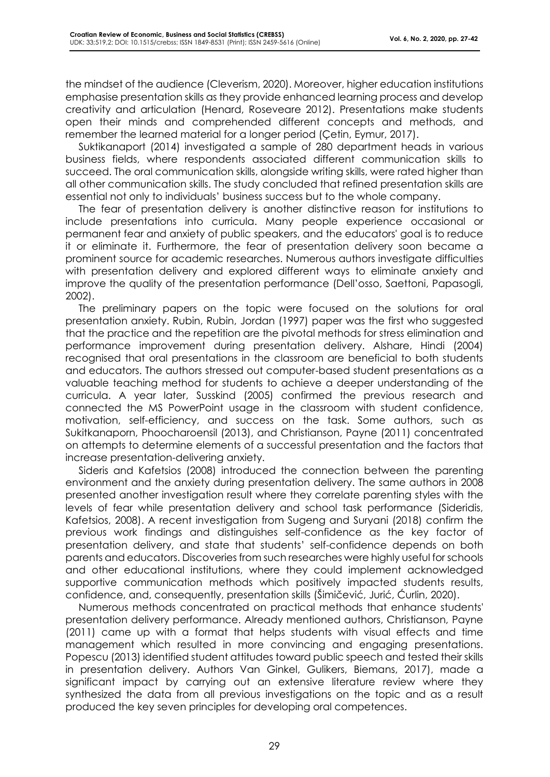the mindset of the audience (Cleverism, 2020). Moreover, higher education institutions emphasise presentation skills as they provide enhanced learning process and develop creativity and articulation (Henard, Roseveare 2012). Presentations make students open their minds and comprehended different concepts and methods, and remember the learned material for a longer period (Çetin, Eymur, 2017).

Suktikanaport (2014) investigated a sample of 280 department heads in various business fields, where respondents associated different communication skills to succeed. The oral communication skills, alongside writing skills, were rated higher than all other communication skills. The study concluded that refined presentation skills are essential not only to individuals' business success but to the whole company.

The fear of presentation delivery is another distinctive reason for institutions to include presentations into curricula. Many people experience occasional or permanent fear and anxiety of public speakers, and the educators' goal is to reduce it or eliminate it. Furthermore, the fear of presentation delivery soon became a prominent source for academic researches. Numerous authors investigate difficulties with presentation delivery and explored different ways to eliminate anxiety and improve the quality of the presentation performance (Dell'osso, Saettoni, Papasogli, 2002).

The preliminary papers on the topic were focused on the solutions for oral presentation anxiety. Rubin, Rubin, Jordan (1997) paper was the first who suggested that the practice and the repetition are the pivotal methods for stress elimination and performance improvement during presentation delivery. Alshare, Hindi (2004) recognised that oral presentations in the classroom are beneficial to both students and educators. The authors stressed out computer-based student presentations as a valuable teaching method for students to achieve a deeper understanding of the curricula. A year later, Susskind (2005) confirmed the previous research and connected the MS PowerPoint usage in the classroom with student confidence, motivation, self-efficiency, and success on the task. Some authors, such as Sukitkanaporn, Phoocharoensil (2013), and Christianson, Payne (2011) concentrated on attempts to determine elements of a successful presentation and the factors that increase presentation-delivering anxiety.

Sideris and Kafetsios (2008) introduced the connection between the parenting environment and the anxiety during presentation delivery. The same authors in 2008 presented another investigation result where they correlate parenting styles with the levels of fear while presentation delivery and school task performance (Sideridis, Kafetsios, 2008). A recent investigation from Sugeng and Suryani (2018) confirm the previous work findings and distinguishes self-confidence as the key factor of presentation delivery, and state that students' self-confidence depends on both parents and educators. Discoveries from such researches were highly useful for schools and other educational institutions, where they could implement acknowledged supportive communication methods which positively impacted students results, confidence, and, consequently, presentation skills (Šimičević, Jurić, Ćurlin, 2020).

Numerous methods concentrated on practical methods that enhance students' presentation delivery performance. Already mentioned authors, Christianson, Payne (2011) came up with a format that helps students with visual effects and time management which resulted in more convincing and engaging presentations. Popescu (2013) identified student attitudes toward public speech and tested their skills in presentation delivery. Authors Van Ginkel, Gulikers, Biemans, 2017), made a significant impact by carrying out an extensive literature review where they synthesized the data from all previous investigations on the topic and as a result produced the key seven principles for developing oral competences.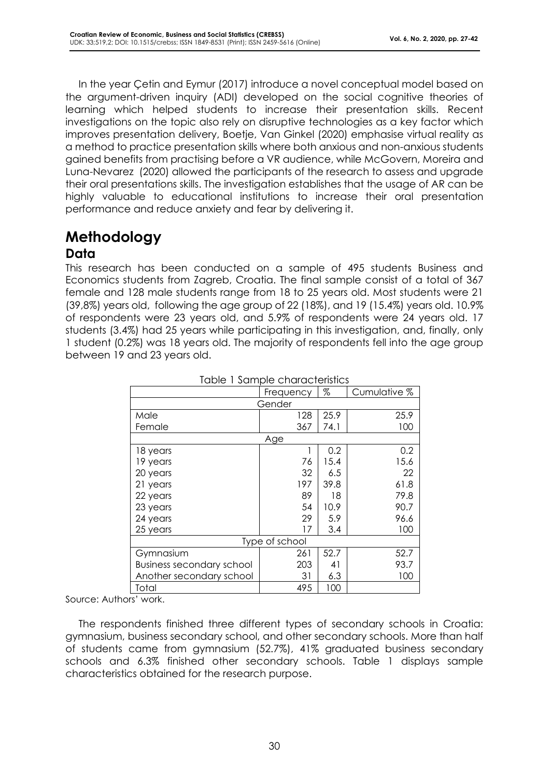In the year Çetin and Eymur (2017) introduce a novel conceptual model based on the argument-driven inquiry (ADI) developed on the social cognitive theories of learning which helped students to increase their presentation skills. Recent investigations on the topic also rely on disruptive technologies as a key factor which improves presentation delivery, Boetje, Van Ginkel (2020) emphasise virtual reality as a method to practice presentation skills where both anxious and non-anxious students gained benefits from practising before a VR audience, while McGovern, Moreira and Luna-Nevarez (2020) allowed the participants of the research to assess and upgrade their oral presentations skills. The investigation establishes that the usage of AR can be highly valuable to educational institutions to increase their oral presentation performance and reduce anxiety and fear by delivering it.

# **Methodology**

#### **Data**

This research has been conducted on a sample of 495 students Business and Economics students from Zagreb, Croatia. The final sample consist of a total of 367 female and 128 male students range from 18 to 25 years old. Most students were 21 (39,8%) years old, following the age group of 22 (18%), and 19 (15.4%) years old. 10.9% of respondents were 23 years old, and 5.9% of respondents were 24 years old. 17 students (3.4%) had 25 years while participating in this investigation, and, finally, only 1 student (0.2%) was 18 years old. The majority of respondents fell into the age group between 19 and 23 years old.

|                                  | Frequency | %    | Cumulative % |  |  |  |
|----------------------------------|-----------|------|--------------|--|--|--|
|                                  | Gender    |      |              |  |  |  |
| Male                             | 128       | 25.9 | 25.9         |  |  |  |
| Female                           | 367       | 74.1 | 100          |  |  |  |
|                                  | Age       |      |              |  |  |  |
| 18 years                         |           | 0.2  | 0.2          |  |  |  |
| 19 years                         | 76        | 15.4 | 15.6         |  |  |  |
| 20 years                         | 32        | 6.5  | 22           |  |  |  |
| 21 years                         | 197       | 39.8 | 61.8         |  |  |  |
| 22 years                         | 89        | 18   | 79.8         |  |  |  |
| 23 years                         | 54        | 10.9 | 90.7         |  |  |  |
| 24 years                         | 29        | 5.9  | 96.6         |  |  |  |
| 25 years                         | 17        | 3.4  | 100          |  |  |  |
| Type of school                   |           |      |              |  |  |  |
| Gymnasium                        | 261       | 52.7 | 52.7         |  |  |  |
| <b>Business secondary school</b> | 203       | 41   | 93.7         |  |  |  |
| Another secondary school         | 31        | 6.3  | 100          |  |  |  |
| Total                            | 495       | 100  |              |  |  |  |

Table 1 Sample characteristics

Source: Authors' work.

The respondents finished three different types of secondary schools in Croatia: gymnasium, business secondary school, and other secondary schools. More than half of students came from gymnasium (52.7%), 41% graduated business secondary schools and 6.3% finished other secondary schools. Table 1 displays sample characteristics obtained for the research purpose.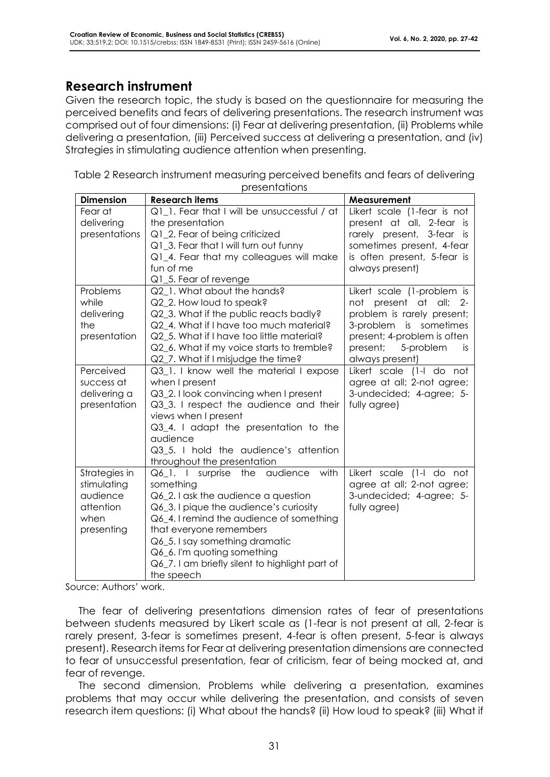## **Research instrument**

Given the research topic, the study is based on the questionnaire for measuring the perceived benefits and fears of delivering presentations. The research instrument was comprised out of four dimensions: (i) Fear at delivering presentation, (ii) Problems while delivering a presentation, (iii) Perceived success at delivering a presentation, and (iv) Strategies in stimulating audience attention when presenting.

| Table 2 Research instrument measuring perceived benefits and fears of delivering |
|----------------------------------------------------------------------------------|
| presentations                                                                    |

| <b>Dimension</b> | <b>Research items</b>                                                | Measurement                                            |
|------------------|----------------------------------------------------------------------|--------------------------------------------------------|
| Fear at          | Q1_1. Fear that I will be unsuccessful / at                          | Likert scale (1-fear is not                            |
| delivering       | the presentation                                                     | present at all, 2-fear is                              |
| presentations    | Q1_2. Fear of being criticized                                       | rarely present, 3-fear<br>is is                        |
|                  | Q1_3. Fear that I will turn out funny                                | sometimes present, 4-fear                              |
|                  | Q1_4. Fear that my colleagues will make                              | is often present, 5-fear is                            |
|                  | fun of me                                                            | always present)                                        |
|                  | Q1_5. Fear of revenge                                                |                                                        |
| Problems         | Q2 1. What about the hands?                                          | Likert scale (1-problem is                             |
| while            | Q2_2. How loud to speak?                                             | not present at all; 2-                                 |
| delivering       | Q2_3. What if the public reacts badly?                               | problem is rarely present;                             |
| the              | Q2_4. What if I have too much material?                              | 3-problem is sometimes                                 |
| presentation     | Q2_5. What if I have too little material?                            | present; 4-problem is often                            |
|                  | Q2_6. What if my voice starts to tremble?                            | present;<br>5-problem<br>is.                           |
|                  | Q2_7. What if I misjudge the time?                                   | always present)                                        |
| Perceived        | Q3_1. I know well the material I expose                              | Likert scale (1-I do not                               |
| success at       | when I present                                                       | agree at all; 2-not agree;                             |
| delivering a     | Q3_2. I look convincing when I present                               | 3-undecided; 4-agree; 5-                               |
| presentation     | Q3_3. I respect the audience and their                               | fully agree)                                           |
|                  | views when I present                                                 |                                                        |
|                  | Q3_4. I adapt the presentation to the<br>audience                    |                                                        |
|                  |                                                                      |                                                        |
|                  | Q3 5. I hold the audience's attention                                |                                                        |
| Strategies in    | throughout the presentation<br>with<br>Q6 1. I surprise the audience | Likert scale (1-I do not                               |
| stimulating      | something                                                            |                                                        |
| audience         | Q6_2. I ask the audience a question                                  | agree at all; 2-not agree;<br>3-undecided; 4-agree; 5- |
| attention        | Q6_3. I pique the audience's curiosity                               | fully agree)                                           |
| when             | Q6_4. I remind the audience of something                             |                                                        |
| presenting       | that everyone remembers                                              |                                                        |
|                  | Q6_5. I say something dramatic                                       |                                                        |
|                  | Q6_6. I'm quoting something                                          |                                                        |
|                  | Q6_7. I am briefly silent to highlight part of                       |                                                        |
|                  | the speech                                                           |                                                        |

Source: Authors' work.

The fear of delivering presentations dimension rates of fear of presentations between students measured by Likert scale as (1-fear is not present at all, 2-fear is rarely present, 3-fear is sometimes present, 4-fear is often present, 5-fear is always present). Research items for Fear at delivering presentation dimensions are connected to fear of unsuccessful presentation, fear of criticism, fear of being mocked at, and fear of revenge.

The second dimension, Problems while delivering a presentation, examines problems that may occur while delivering the presentation, and consists of seven research item questions: (i) What about the hands? (ii) How loud to speak? (iii) What if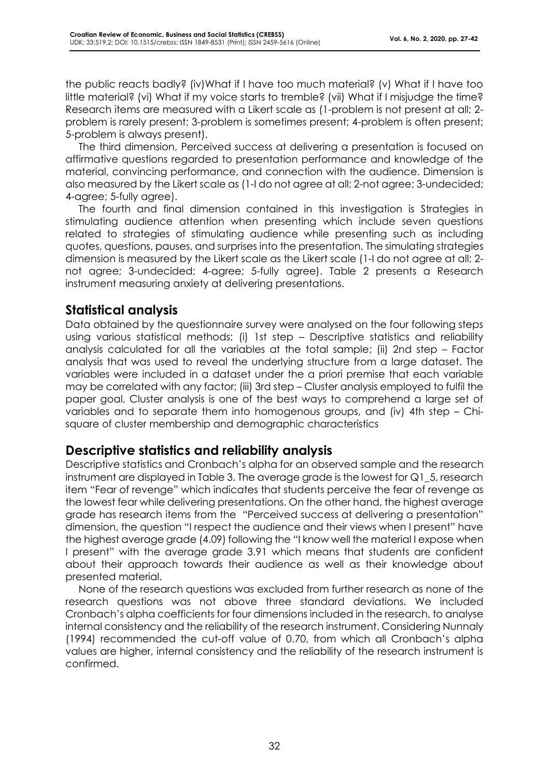the public reacts badly? (iv)What if I have too much material? (v) What if I have too little material? (vi) What if my voice starts to tremble? (vii) What if I misjudge the time? Research items are measured with a Likert scale as (1-problem is not present at all; 2 problem is rarely present; 3-problem is sometimes present; 4-problem is often present; 5-problem is always present).

The third dimension, Perceived success at delivering a presentation is focused on affirmative questions regarded to presentation performance and knowledge of the material, convincing performance, and connection with the audience. Dimension is also measured by the Likert scale as (1-I do not agree at all; 2-not agree; 3-undecided; 4-agree; 5-fully agree).

The fourth and final dimension contained in this investigation is Strategies in stimulating audience attention when presenting which include seven questions related to strategies of stimulating audience while presenting such as including quotes, questions, pauses, and surprises into the presentation. The simulating strategies dimension is measured by the Likert scale as the Likert scale (1-I do not agree at all; 2 not agree; 3-undecided; 4-agree; 5-fully agree). Table 2 presents a Research instrument measuring anxiety at delivering presentations.

## **Statistical analysis**

Data obtained by the questionnaire survey were analysed on the four following steps using various statistical methods: (i) 1st step – Descriptive statistics and reliability analysis calculated for all the variables at the total sample; (ii) 2nd step – Factor analysis that was used to reveal the underlying structure from a large dataset. The variables were included in a dataset under the a priori premise that each variable may be correlated with any factor; (iii) 3rd step – Cluster analysis employed to fulfil the paper goal. Cluster analysis is one of the best ways to comprehend a large set of variables and to separate them into homogenous groups, and (iv) 4th step – Chisquare of cluster membership and demographic characteristics

#### **Descriptive statistics and reliability analysis**

Descriptive statistics and Cronbach's alpha for an observed sample and the research instrument are displayed in Table 3. The average grade is the lowest for Q1\_5, research item "Fear of revenge" which indicates that students perceive the fear of revenge as the lowest fear while delivering presentations. On the other hand, the highest average grade has research items from the "Perceived success at delivering a presentation" dimension, the question "I respect the audience and their views when I present" have the highest average grade (4.09) following the "I know well the material I expose when I present" with the average grade 3.91 which means that students are confident about their approach towards their audience as well as their knowledge about presented material.

None of the research questions was excluded from further research as none of the research questions was not above three standard deviations. We included Cronbach's alpha coefficients for four dimensions included in the research, to analyse internal consistency and the reliability of the research instrument. Considering Nunnaly (1994) recommended the cut-off value of 0.70, from which all Cronbach's alpha values are higher, internal consistency and the reliability of the research instrument is confirmed.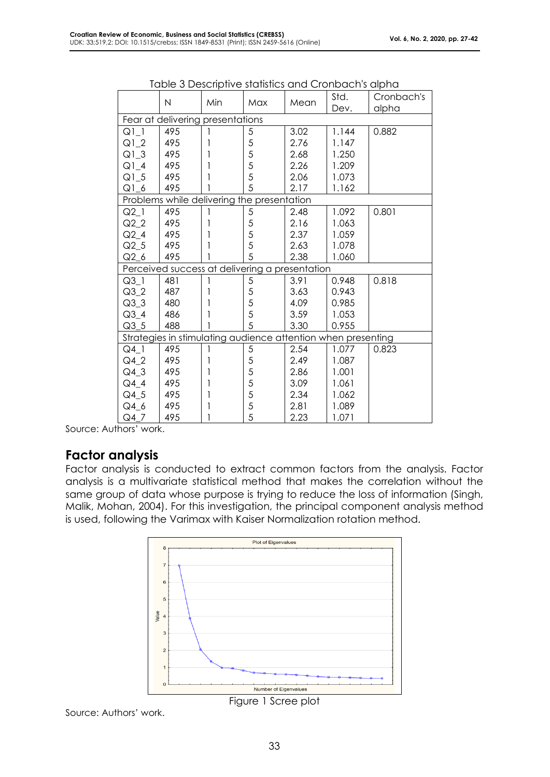|        | N                                              | Min | Max | Mean | Std.<br>Dev.                                                 | Cronbach's<br>alpha |
|--------|------------------------------------------------|-----|-----|------|--------------------------------------------------------------|---------------------|
|        | Fear at delivering presentations               |     |     |      |                                                              |                     |
| Q11    | 495                                            |     | 5   | 3.02 | 1.144                                                        | 0.882               |
| $Q1_2$ | 495                                            | 1   | 5   | 2.76 | 1.147                                                        |                     |
| $Q1_3$ | 495                                            |     | 5   | 2.68 | 1.250                                                        |                     |
| $Q1_4$ | 495                                            |     | 5   | 2.26 | 1.209                                                        |                     |
| $Q1_5$ | 495                                            |     | 5   | 2.06 | 1.073                                                        |                     |
| $Q1_6$ | 495                                            |     | 5   | 2.17 | 1.162                                                        |                     |
|        | Problems while delivering the presentation     |     |     |      |                                                              |                     |
| $Q2_1$ | 495                                            |     | 5   | 2.48 | 1.092                                                        | 0.801               |
| $Q2_2$ | 495                                            |     | 5   | 2.16 | 1.063                                                        |                     |
| $Q2_4$ | 495                                            |     | 5   | 2.37 | 1.059                                                        |                     |
| $Q2_5$ | 495                                            |     | 5   | 2.63 | 1.078                                                        |                     |
| $Q2_6$ | 495                                            |     | 5   | 2.38 | 1.060                                                        |                     |
|        | Perceived success at delivering a presentation |     |     |      |                                                              |                     |
| $Q3_l$ | 481                                            |     | 5   | 3.91 | 0.948                                                        | 0.818               |
| $Q3_2$ | 487                                            |     | 5   | 3.63 | 0.943                                                        |                     |
| $Q3_3$ | 480                                            |     | 5   | 4.09 | 0.985                                                        |                     |
| $Q3_4$ | 486                                            |     | 5   | 3.59 | 1.053                                                        |                     |
| $Q3-5$ | 488                                            |     | 5   | 3.30 | 0.955                                                        |                     |
|        |                                                |     |     |      | Strategies in stimulating audience attention when presenting |                     |
| $Q4$ 1 | 495                                            |     | 5   | 2.54 | 1.077                                                        | 0.823               |
| $Q4_2$ | 495                                            |     | 5   | 2.49 | 1.087                                                        |                     |
| $Q4_3$ | 495                                            |     | 5   | 2.86 | 1.001                                                        |                     |
| $Q4_4$ | 495                                            |     | 5   | 3.09 | 1.061                                                        |                     |
| $Q4_5$ | 495                                            |     | 5   | 2.34 | 1.062                                                        |                     |
| Q4_6   | 495                                            |     | 5   | 2.81 | 1.089                                                        |                     |
| $Q4$ 7 | 495                                            |     | 5   | 2.23 | 1.071                                                        |                     |

|  |  | Table 3 Descriptive statistics and Cronbach's alpha |  |
|--|--|-----------------------------------------------------|--|
|--|--|-----------------------------------------------------|--|

Source: Authors' work.

#### **Factor analysis**

Factor analysis is conducted to extract common factors from the analysis. Factor analysis is a multivariate statistical method that makes the correlation without the same group of data whose purpose is trying to reduce the loss of information (Singh, Malik, Mohan, 2004). For this investigation, the principal component analysis method is used, following the Varimax with Kaiser Normalization rotation method.



Source: Authors' work.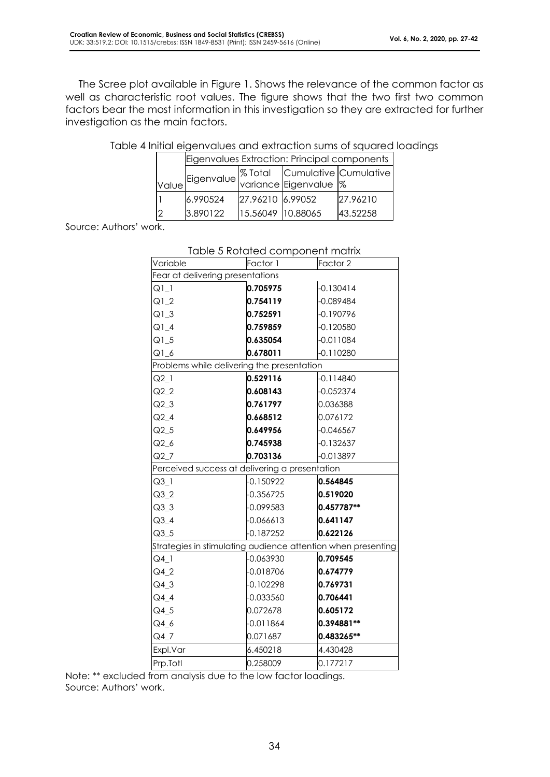The Scree plot available in Figure 1. Shows the relevance of the common factor as well as characteristic root values. The figure shows that the two first two common factors bear the most information in this investigation so they are extracted for further investigation as the main factors.

|       | Eigenvalues Extraction: Principal components                                 |                   |  |          |  |  |  |  |
|-------|------------------------------------------------------------------------------|-------------------|--|----------|--|--|--|--|
|       | Eigenvalue  % Total   Cumulative   Cumulative  <br> variance   Eigenvalue  % |                   |  |          |  |  |  |  |
| Value |                                                                              |                   |  |          |  |  |  |  |
|       | 6.990524                                                                     | 27.96210 6.99052  |  | 27.96210 |  |  |  |  |
| 2     | 3.890122                                                                     | 15.56049 10.88065 |  | 43.52258 |  |  |  |  |

| Table 4 Initial eigenvalues and extraction sums of squared loadings |  |  |  |
|---------------------------------------------------------------------|--|--|--|
|                                                                     |  |  |  |

Source: Authors' work.

|                                                              | Table 5 Rotated component matrix |                     |  |  |  |  |  |
|--------------------------------------------------------------|----------------------------------|---------------------|--|--|--|--|--|
| Variable                                                     | Factor 1                         | Factor <sub>2</sub> |  |  |  |  |  |
|                                                              | Fear at delivering presentations |                     |  |  |  |  |  |
| $Q1_1$                                                       | 0.705975                         | $-0.130414$         |  |  |  |  |  |
| $Q1_2$                                                       | 0.754119                         | $-0.089484$         |  |  |  |  |  |
| $Q1_3$                                                       | 0.752591                         | -0.190796           |  |  |  |  |  |
| $Q1_4$                                                       | 0.759859                         | $-0.120580$         |  |  |  |  |  |
| $Q1_5$                                                       | 0.635054                         | $-0.011084$         |  |  |  |  |  |
| $Q1_6$                                                       | 0.678011                         | $-0.110280$         |  |  |  |  |  |
| Problems while delivering the presentation                   |                                  |                     |  |  |  |  |  |
| $Q2_l$                                                       | 0.529116                         | $-0.114840$         |  |  |  |  |  |
| $Q2_2$                                                       | 0.608143                         | $-0.052374$         |  |  |  |  |  |
| $Q2_3$                                                       | 0.761797                         | 0.036388            |  |  |  |  |  |
| $Q2_4$                                                       | 0.668512                         | 0.076172            |  |  |  |  |  |
| $Q2_5$                                                       | 0.649956                         | $-0.046567$         |  |  |  |  |  |
| $Q2_6$                                                       | 0.745938                         | $-0.132637$         |  |  |  |  |  |
| Q2 7                                                         | 0.703136                         | $-0.013897$         |  |  |  |  |  |
| Perceived success at delivering a presentation               |                                  |                     |  |  |  |  |  |
| $Q3_l$                                                       | $-0.150922$                      | 0.564845            |  |  |  |  |  |
| $Q3_2$                                                       | $-0.356725$                      | 0.519020            |  |  |  |  |  |
| $Q3-3$                                                       | -0.099583                        | 0.457787**          |  |  |  |  |  |
| $Q3_4$                                                       | $-0.066613$                      | 0.641147            |  |  |  |  |  |
| $Q3-5$                                                       | $-0.187252$                      | 0.622126            |  |  |  |  |  |
| Strategies in stimulating audience attention when presenting |                                  |                     |  |  |  |  |  |
| $Q4_l$                                                       | $-0.063930$                      | 0.709545            |  |  |  |  |  |
| $Q4_2$                                                       | $-0.018706$                      | 0.674779            |  |  |  |  |  |
| Q4 3                                                         | -0.102298                        | 0.769731            |  |  |  |  |  |
| $Q4_4$                                                       | $-0.033560$                      | 0.706441            |  |  |  |  |  |
| $Q4_5$                                                       | 0.072678                         | 0.605172            |  |  |  |  |  |
| Q4_6                                                         | $-0.011864$                      | 0.394881**          |  |  |  |  |  |
| $Q4$ <sub>_7</sub>                                           | 0.071687                         | 0.483265**          |  |  |  |  |  |
| Expl.Var                                                     | 6.450218                         | 4.430428            |  |  |  |  |  |
| Prp.Totl                                                     | 0.258009                         | 0.177217            |  |  |  |  |  |

## Table 5 Rotated component matrix

Note: \*\* excluded from analysis due to the low factor loadings. Source: Authors' work.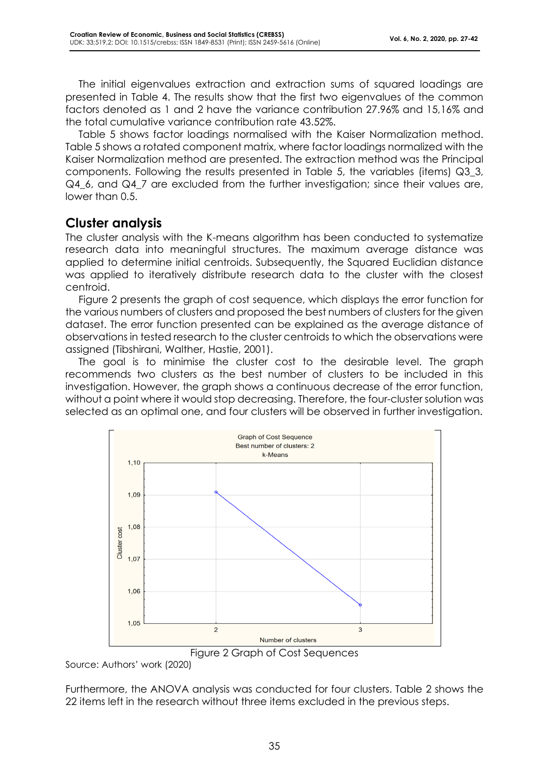The initial eigenvalues extraction and extraction sums of squared loadings are presented in Table 4. The results show that the first two eigenvalues of the common factors denoted as 1 and 2 have the variance contribution 27.96% and 15,16% and the total cumulative variance contribution rate 43.52%.

Table 5 shows factor loadings normalised with the Kaiser Normalization method. Table 5 shows a rotated component matrix, where factor loadings normalized with the Kaiser Normalization method are presented. The extraction method was the Principal components. Following the results presented in Table 5, the variables (items) Q3\_3, Q4\_6, and Q4\_7 are excluded from the further investigation; since their values are, lower than 0.5.

## **Cluster analysis**

The cluster analysis with the K-means algorithm has been conducted to systematize research data into meaningful structures. The maximum average distance was applied to determine initial centroids. Subsequently, the Squared Euclidian distance was applied to iteratively distribute research data to the cluster with the closest centroid.

Figure 2 presents the graph of cost sequence, which displays the error function for the various numbers of clusters and proposed the best numbers of clusters for the given dataset. The error function presented can be explained as the average distance of observations in tested research to the cluster centroids to which the observations were assigned (Tibshirani, Walther, Hastie, 2001).

The goal is to minimise the cluster cost to the desirable level. The graph recommends two clusters as the best number of clusters to be included in this investigation. However, the graph shows a continuous decrease of the error function, without a point where it would stop decreasing. Therefore, the four-cluster solution was selected as an optimal one, and four clusters will be observed in further investigation.



Figure 2 Graph of Cost Sequences

Source: Authors' work (2020)

Furthermore, the ANOVA analysis was conducted for four clusters. Table 2 shows the 22 items left in the research without three items excluded in the previous steps.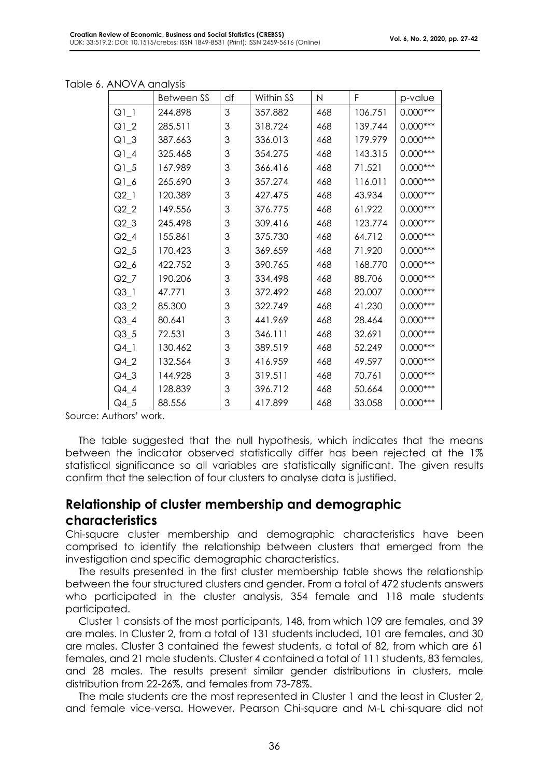|  | Table 6. ANOVA analysis |
|--|-------------------------|
|--|-------------------------|

|        | Between SS | df | Within SS | N   | F       | p-value    |
|--------|------------|----|-----------|-----|---------|------------|
| $Q1_1$ | 244.898    | 3  | 357.882   | 468 | 106.751 | $0.000***$ |
| $Q1_2$ | 285.511    | 3  | 318.724   | 468 | 139.744 | $0.000***$ |
| $Q1_3$ | 387.663    | 3  | 336.013   | 468 | 179.979 | $0.000***$ |
| $Q1_4$ | 325.468    | 3  | 354.275   | 468 | 143.315 | $0.000***$ |
| $Q1_5$ | 167.989    | 3  | 366.416   | 468 | 71.521  | $0.000***$ |
| $Q1_6$ | 265.690    | 3  | 357.274   | 468 | 116.011 | $0.000***$ |
| $Q2_l$ | 120.389    | 3  | 427.475   | 468 | 43.934  | $0.000***$ |
| $Q2_2$ | 149.556    | 3  | 376.775   | 468 | 61.922  | $0.000***$ |
| $Q2_3$ | 245.498    | 3  | 309.416   | 468 | 123.774 | $0.000***$ |
| $Q2_4$ | 155.861    | 3  | 375.730   | 468 | 64.712  | $0.000***$ |
| $Q2_5$ | 170.423    | 3  | 369.659   | 468 | 71.920  | $0.000***$ |
| $Q2_6$ | 422.752    | 3  | 390.765   | 468 | 168.770 | $0.000***$ |
| $Q2_7$ | 190.206    | 3  | 334.498   | 468 | 88.706  | $0.000***$ |
| $Q3_l$ | 47.771     | 3  | 372.492   | 468 | 20.007  | $0.000***$ |
| $Q3_2$ | 85.300     | 3  | 322.749   | 468 | 41.230  | $0.000***$ |
| $Q3_4$ | 80.641     | 3  | 441.969   | 468 | 28.464  | $0.000***$ |
| $Q3-5$ | 72.531     | 3  | 346.111   | 468 | 32.691  | $0.000***$ |
| $Q4_l$ | 130.462    | 3  | 389.519   | 468 | 52.249  | $0.000***$ |
| $Q4_2$ | 132.564    | 3  | 416.959   | 468 | 49.597  | $0.000***$ |
| $Q4_3$ | 144.928    | 3  | 319.511   | 468 | 70.761  | $0.000***$ |
| $Q4_4$ | 128.839    | 3  | 396.712   | 468 | 50.664  | $0.000***$ |
| Q4 5   | 88.556     | 3  | 417.899   | 468 | 33.058  | $0.000***$ |

Source: Authors' work.

The table suggested that the null hypothesis, which indicates that the means between the indicator observed statistically differ has been rejected at the 1% statistical significance so all variables are statistically significant. The given results confirm that the selection of four clusters to analyse data is justified.

#### **Relationship of cluster membership and demographic characteristics**

Chi-square cluster membership and demographic characteristics have been comprised to identify the relationship between clusters that emerged from the investigation and specific demographic characteristics.

The results presented in the first cluster membership table shows the relationship between the four structured clusters and gender. From a total of 472 students answers who participated in the cluster analysis, 354 female and 118 male students participated.

Cluster 1 consists of the most participants, 148, from which 109 are females, and 39 are males. In Cluster 2, from a total of 131 students included, 101 are females, and 30 are males. Cluster 3 contained the fewest students, a total of 82, from which are 61 females, and 21 male students. Cluster 4 contained a total of 111 students, 83 females, and 28 males. The results present similar gender distributions in clusters, male distribution from 22-26%, and females from 73-78%.

The male students are the most represented in Cluster 1 and the least in Cluster 2, and female vice-versa. However, Pearson Chi-square and M-L chi-square did not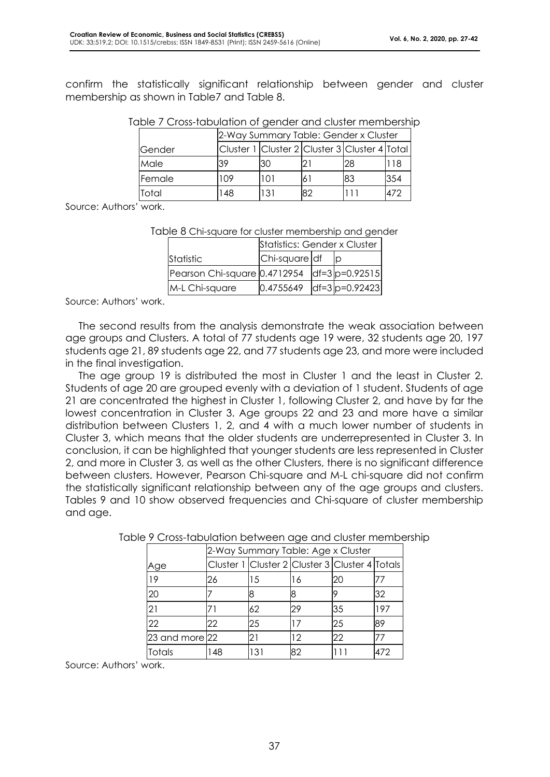confirm the statistically significant relationship between gender and cluster membership as shown in Table7 and Table 8.

| Table 7 Cross-tabulation of gender and cluster membership |  |  |
|-----------------------------------------------------------|--|--|
|                                                           |  |  |

|                | 2-Way Summary Table: Gender x Cluster |     |    |                                               |     |  |
|----------------|---------------------------------------|-----|----|-----------------------------------------------|-----|--|
| <b>IGender</b> |                                       |     |    | Cluster 1 Cluster 2 Cluster 3 Cluster 4 Total |     |  |
| Male           | 39                                    | l30 |    | 28                                            | 18  |  |
| Female         | 109                                   | 101 |    | 83                                            | 354 |  |
| Total          | 148                                   | 131 | 82 |                                               | 472 |  |

Source: Authors' work.

#### Table 8 Chi-square for cluster membership and gender

|                                                              | Statistics: Gender x Cluster |  |  |  |
|--------------------------------------------------------------|------------------------------|--|--|--|
| Statistic                                                    | Chi-square df                |  |  |  |
| Pearson Chi-square $[0.4712954 \text{ ]}$ df=3 $ p=0.92515 $ |                              |  |  |  |
| M-L Chi-square                                               | $ 0.4755649 $ df=3 p=0.92423 |  |  |  |

Source: Authors' work.

The second results from the analysis demonstrate the weak association between age groups and Clusters. A total of 77 students age 19 were, 32 students age 20, 197 students age 21, 89 students age 22, and 77 students age 23, and more were included in the final investigation.

The age group 19 is distributed the most in Cluster 1 and the least in Cluster 2. Students of age 20 are grouped evenly with a deviation of 1 student. Students of age 21 are concentrated the highest in Cluster 1, following Cluster 2, and have by far the lowest concentration in Cluster 3. Age groups 22 and 23 and more have a similar distribution between Clusters 1, 2, and 4 with a much lower number of students in Cluster 3, which means that the older students are underrepresented in Cluster 3. In conclusion, it can be highlighted that younger students are less represented in Cluster 2, and more in Cluster 3, as well as the other Clusters, there is no significant difference between clusters. However, Pearson Chi-square and M-L chi-square did not confirm the statistically significant relationship between any of the age groups and clusters. Tables 9 and 10 show observed frequencies and Chi-square of cluster membership and age.

|                    | 2-Way Summary Table: Age x Cluster |     |    |                                                |     |
|--------------------|------------------------------------|-----|----|------------------------------------------------|-----|
| Age                |                                    |     |    | Cluster 1 Cluster 2 Cluster 3 Cluster 4 Totals |     |
| 19                 | 26                                 | 15  | 16 | 20                                             |     |
| 20                 |                                    |     |    |                                                | 32  |
| 21                 |                                    | 62  | 29 | 35                                             | 197 |
| 22                 | 22                                 | 25  | 17 | 25                                             | 89  |
| $23$ and more $22$ |                                    |     | 12 | 22                                             |     |
| Totals             | 148                                | 131 | 82 |                                                | 472 |

Table 9 Cross-tabulation between age and cluster membership

Source: Authors' work.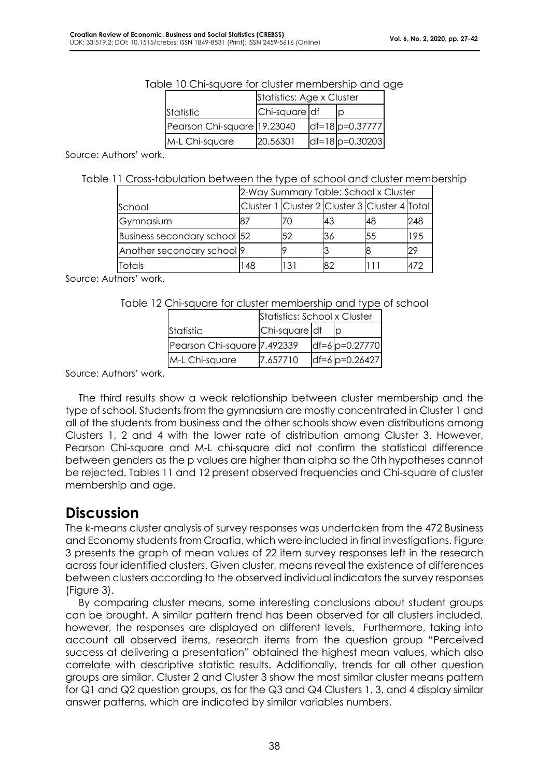| <u>sie to Chi-square for closier membership and c</u> |                           |  |                    |  |  |
|-------------------------------------------------------|---------------------------|--|--------------------|--|--|
|                                                       | Statistics: Age x Cluster |  |                    |  |  |
| Statistic                                             | Chi-square df             |  |                    |  |  |
| Pearson Chi-square 19.23040                           |                           |  | $df=18 p=0.37777 $ |  |  |
| M-L Chi-square                                        | 20.56301                  |  | $df=18 p=0.30203 $ |  |  |

#### Table 10 Chi-square for cluster membership and age

Source: Authors' work.

Table 11 Cross-tabulation between the type of school and cluster membership

|                                       | 2-Way Summary Table: School x Cluster |     |                                               |    |     |
|---------------------------------------|---------------------------------------|-----|-----------------------------------------------|----|-----|
| School                                |                                       |     | Cluster 1 Cluster 2 Cluster 3 Cluster 4 Total |    |     |
| Gymnasium                             | 87                                    | 70  | 43                                            | 48 | 248 |
| Business secondary school 52          |                                       | 52  | 36                                            | 55 | 195 |
| Another secondary school <sup>9</sup> |                                       |     |                                               |    | 29  |
| Totals                                | 148                                   | 131 | 82                                            |    | 472 |

Source: Authors' work.

Table 12 Chi-square for cluster membership and type of school

|                             | Statistics: School x Cluster |  |                   |  |
|-----------------------------|------------------------------|--|-------------------|--|
| Statistic                   | Chi-square df                |  |                   |  |
| Pearson Chi-square 7.492339 |                              |  | $df=6 p=0.27770 $ |  |
| M-L Chi-square              | 7.657710                     |  | $df=6 p=0.26427 $ |  |

Source: Authors' work.

The third results show a weak relationship between cluster membership and the type of school. Students from the gymnasium are mostly concentrated in Cluster 1 and all of the students from business and the other schools show even distributions among Clusters 1, 2 and 4 with the lower rate of distribution among Cluster 3. However, Pearson Chi-square and M-L chi-square did not confirm the statistical difference between genders as the p values are higher than alpha so the 0th hypotheses cannot be rejected. Tables 11 and 12 present observed frequencies and Chi-square of cluster membership and age.

## **Discussion**

The k-means cluster analysis of survey responses was undertaken from the 472 Business and Economy students from Croatia, which were included in final investigations. Figure 3 presents the graph of mean values of 22 item survey responses left in the research across four identified clusters. Given cluster, means reveal the existence of differences between clusters according to the observed individual indicators the survey responses (Figure 3).

By comparing cluster means, some interesting conclusions about student groups can be brought. A similar pattern trend has been observed for all clusters included, however, the responses are displayed on different levels. Furthermore, taking into account all observed items, research items from the question group "Perceived success at delivering a presentation" obtained the highest mean values, which also correlate with descriptive statistic results. Additionally, trends for all other question groups are similar. Cluster 2 and Cluster 3 show the most similar cluster means pattern for Q1 and Q2 question groups, as for the Q3 and Q4 Clusters 1, 3, and 4 display similar answer patterns, which are indicated by similar variables numbers.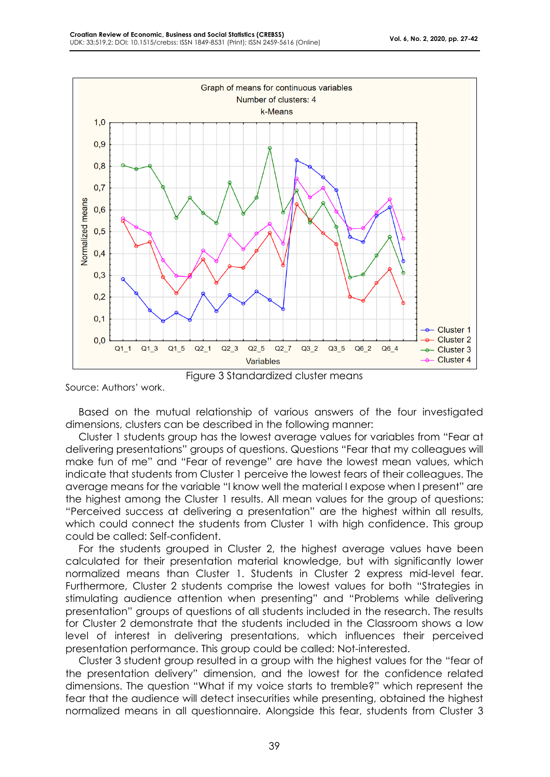

Source: Authors' work.

Based on the mutual relationship of various answers of the four investigated dimensions, clusters can be described in the following manner:

Cluster 1 students group has the lowest average values for variables from "Fear at delivering presentations" groups of questions. Questions "Fear that my colleagues will make fun of me" and "Fear of revenge" are have the lowest mean values, which indicate that students from Cluster 1 perceive the lowest fears of their colleagues. The average means for the variable "I know well the material I expose when I present" are the highest among the Cluster 1 results. All mean values for the group of questions: "Perceived success at delivering a presentation" are the highest within all results, which could connect the students from Cluster 1 with high confidence. This group could be called: Self-confident.

For the students grouped in Cluster 2, the highest average values have been calculated for their presentation material knowledge, but with significantly lower normalized means than Cluster 1. Students in Cluster 2 express mid-level fear. Furthermore, Cluster 2 students comprise the lowest values for both "Strategies in stimulating audience attention when presenting" and "Problems while delivering presentation" groups of questions of all students included in the research. The results for Cluster 2 demonstrate that the students included in the Classroom shows a low level of interest in delivering presentations, which influences their perceived presentation performance. This group could be called: Not-interested.

Cluster 3 student group resulted in a group with the highest values for the "fear of the presentation delivery" dimension, and the lowest for the confidence related dimensions. The question "What if my voice starts to tremble?" which represent the fear that the audience will detect insecurities while presenting, obtained the highest normalized means in all questionnaire. Alongside this fear, students from Cluster 3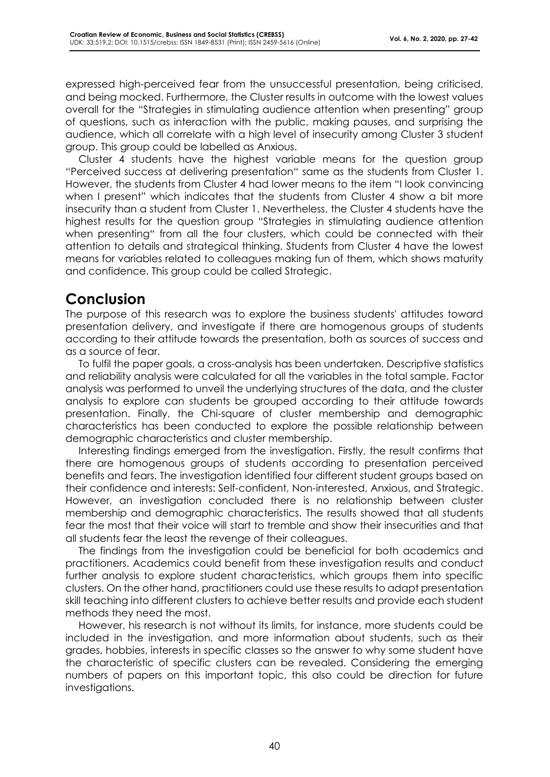expressed high-perceived fear from the unsuccessful presentation, being criticised, and being mocked. Furthermore, the Cluster results in outcome with the lowest values overall for the "Strategies in stimulating audience attention when presenting" group of questions, such as interaction with the public, making pauses, and surprising the audience, which all correlate with a high level of insecurity among Cluster 3 student group. This group could be labelled as Anxious.

Cluster 4 students have the highest variable means for the question group "Perceived success at delivering presentation" same as the students from Cluster 1. However, the students from Cluster 4 had lower means to the item "I look convincing when I present" which indicates that the students from Cluster 4 show a bit more insecurity than a student from Cluster 1. Nevertheless, the Cluster 4 students have the highest results for the question group "Strategies in stimulating audience attention when presenting" from all the four clusters, which could be connected with their attention to details and strategical thinking. Students from Cluster 4 have the lowest means for variables related to colleagues making fun of them, which shows maturity and confidence. This group could be called Strategic.

# **Conclusion**

The purpose of this research was to explore the business students' attitudes toward presentation delivery, and investigate if there are homogenous groups of students according to their attitude towards the presentation, both as sources of success and as a source of fear.

To fulfil the paper goals, a cross-analysis has been undertaken. Descriptive statistics and reliability analysis were calculated for all the variables in the total sample. Factor analysis was performed to unveil the underlying structures of the data, and the cluster analysis to explore can students be grouped according to their attitude towards presentation. Finally, the Chi-square of cluster membership and demographic characteristics has been conducted to explore the possible relationship between demographic characteristics and cluster membership.

Interesting findings emerged from the investigation. Firstly, the result confirms that there are homogenous groups of students according to presentation perceived benefits and fears. The investigation identified four different student groups based on their confidence and interests: Self-confident, Non-interested, Anxious, and Strategic. However, an investigation concluded there is no relationship between cluster membership and demographic characteristics. The results showed that all students fear the most that their voice will start to tremble and show their insecurities and that all students fear the least the revenge of their colleagues.

The findings from the investigation could be beneficial for both academics and practitioners. Academics could benefit from these investigation results and conduct further analysis to explore student characteristics, which groups them into specific clusters. On the other hand, practitioners could use these results to adapt presentation skill teaching into different clusters to achieve better results and provide each student methods they need the most.

However, his research is not without its limits, for instance, more students could be included in the investigation, and more information about students, such as their grades, hobbies, interests in specific classes so the answer to why some student have the characteristic of specific clusters can be revealed. Considering the emerging numbers of papers on this important topic, this also could be direction for future investigations.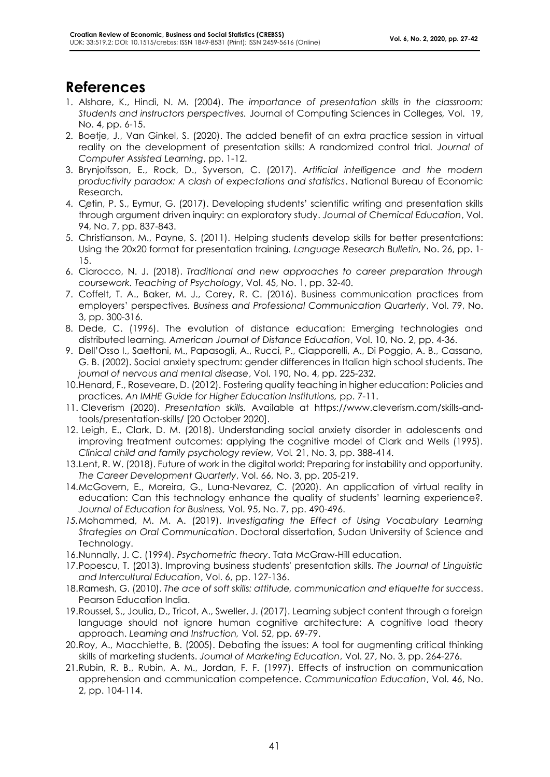## **References**

- 1. Alshare, K., Hindi, N. M. (2004). *The importance of presentation skills in the classroom: Students and instructors perspectives.* Journal of Computing Sciences in Colleges*,* Vol. 19, No. 4, pp. 6-15.
- 2. Boetje, J., Van Ginkel, S. (2020). The added benefit of an extra practice session in virtual reality on the development of presentation skills: A randomized control trial*. Journal of Computer Assisted Learning*, pp. 1-12.
- 3. Brynjolfsson, E., Rock, D., Syverson, C. (2017). *Artificial intelligence and the modern productivity paradox: A clash of expectations and statistics*. National Bureau of Economic Research.
- 4. Cetin, P. S., Eymur, G. (2017). Developing students' scientific writing and presentation skills through argument driven inquiry: an exploratory study. *Journal of Chemical Education*, Vol. 94, No. 7, pp. 837-843.
- 5. Christianson, M., Payne, S. (2011). Helping students develop skills for better presentations: Using the 20x20 format for presentation training*. Language Research Bulletin,* No. 26, pp. 1- 15.
- 6. Ciarocco, N. J. (2018). *Traditional and new approaches to career preparation through coursework. Teaching of Psychology*, Vol. 45, No. 1, pp. 32-40.
- 7. Coffelt, T. A., Baker, M. J., Corey, R. C. (2016). Business communication practices from employers' perspectives*. Business and Professional Communication Quarterly*, Vol. 79, No. 3, pp. 300-316.
- 8. Dede, C. (1996). The evolution of distance education: Emerging technologies and distributed learning*. American Journal of Distance Education*, Vol. 10, No. 2, pp. 4-36.
- 9. Dell'Osso I., Saettoni, M., Papasogli, A., Rucci, P., Ciapparelli, A., Di Poggio, A. B., Cassano, G. B. (2002). Social anxiety spectrum: gender differences in Italian high school students. *The journal of nervous and mental disease*, Vol. 190, No. 4, pp. 225-232.
- 10.Henard, F., Roseveare, D. (2012). Fostering quality teaching in higher education: Policies and practices. *An IMHE Guide for Higher Education Institutions,* pp. 7-11.
- 11. Cleverism (2020). *Presentation skills.* Available at https://www.cleverism.com/skills-andtools/presentation-skills/ [20 October 2020].
- 12. Leigh, E., Clark, D. M. (2018). Understanding social anxiety disorder in adolescents and improving treatment outcomes: applying the cognitive model of Clark and Wells (1995). *Clinical child and family psychology review,* Vol*.* 21, No. 3, pp. 388-414.
- 13.Lent, R. W. (2018). Future of work in the digital world: Preparing for instability and opportunity*. The Career Development Quarterly*, Vol. 66, No. 3, pp. 205-219.
- 14.McGovern, E., Moreira, G., Luna-Nevarez, C. (2020). An application of virtual reality in education: Can this technology enhance the quality of students' learning experience?*. Journal of Education for Business,* Vol. 95, No. 7, pp. 490-496.
- *15.*Mohammed, M. M. A. (2019). *Investigating the Effect of Using Vocabulary Learning Strategies on Oral Communication*. Doctoral dissertation, Sudan University of Science and Technology.
- 16.Nunnally, J. C. (1994). *Psychometric theory*. Tata McGraw-Hill education.
- 17.Popescu, T. (2013). Improving business students' presentation skills. *The Journal of Linguistic and Intercultural Education*, Vol. 6, pp. 127-136.
- 18.Ramesh, G. (2010). *The ace of soft skills: attitude, communication and etiquette for success*. Pearson Education India.
- 19.Roussel, S., Joulia, D., Tricot, A., Sweller, J. (2017). Learning subject content through a foreign language should not ignore human cognitive architecture: A cognitive load theory approach. *Learning and Instruction,* Vol. 52, pp. 69-79.
- 20.Roy, A., Macchiette, B. (2005). Debating the issues: A tool for augmenting critical thinking skills of marketing students. *Journal of Marketing Education*, Vol. 27, No. 3, pp. 264-276.
- 21.Rubin, R. B., Rubin, A. M., Jordan, F. F. (1997). Effects of instruction on communication apprehension and communication competence. *Communication Education*, Vol. 46, No. 2, pp. 104-114.